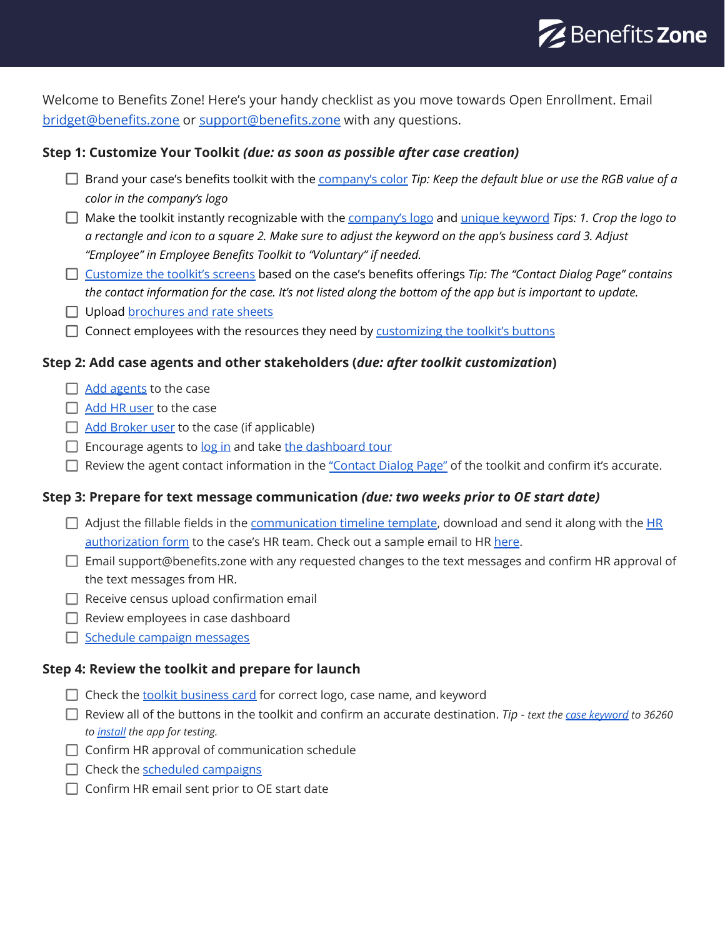

Welcome to Benefits Zone! Here's your handy checklist as you move towards Open Enrollment. Email [bridget@benefits.zone](mailto: bridget@benefits.zone) or [support@benefits.zone](mailto: support@benefits.zone) with any questions.

# **Step 1: Customize Your Toolkit** *(due: as soon as possible after case creation)*

- Brand your case's benefits toolkit with the [company's](https://benefitszone.zendesk.com/hc/en-us/articles/4406814021133-How-to-adjust-the-a-toolkit-s-theme-color-style) color *Tip: Keep the default blue or use the RGB value of a color in the company's logo*
- Make the toolkit instantly recognizable with the [company's](https://benefitszone.zendesk.com/hc/en-us/articles/4407852219917-How-to-add-or-edit-a-toolkit-s-icon-or-logo) logo and unique [keyword](https://benefitszone.zendesk.com/hc/en-us/articles/4402362605837-Find-your-case-keyword) *Tips: 1. Crop the logo to* a rectangle and icon to a square 2. Make sure to adjust the keyword on the app's business card 3. Adjust *"Employee" in Employee Benefits Toolkit to "Voluntary" if needed.*
- [Customize](https://benefitszone.zendesk.com/hc/en-us/articles/4406814067213-How-to-adjust-the-a-toolkit-s-screens) the toolkit's screens based on the case's benefits offerings *Tip: The "Contact Dialog Page" contains* the contact information for the case. It's not listed along the bottom of the app but is important to update.
- □ Upload [brochures](https://benefitszone.zendesk.com/hc/en-us/articles/4407994826637-How-to-add-upload-documents) and rate sheets
- $\Box$  Connect employees with the resources they need by [customizing](https://benefitszone.zendesk.com/hc/en-us/articles/4406814236685-How-to-adjust-the-a-toolkit-s-buttons) the toolkit's buttons

## **Step 2: Add case agents and other stakeholders (***due: after toolkit customization***)**

- $\Box$  Add [agents](https://benefitszone.zendesk.com/hc/en-us/articles/4405911166861-How-to-add-a-new-user) to the case
- $\Box$  Add HR [user](https://benefitszone.zendesk.com/hc/en-us/articles/4405911166861-How-to-add-a-new-user) to the case
- $\Box$  Add [Broker](https://benefitszone.zendesk.com/hc/en-us/articles/4405911166861-How-to-add-a-new-user) user to the case (if applicable)
- $\Box$  Encourage agents to  $log$  in and take the [dashboard](https://benefitszone.zendesk.com/hc/en-us/articles/4404044579469-Benefits-Zone-dashboard-tour) tour
- $\Box$  Review the agent contact information in the ["Contact](https://benefitszone.zendesk.com/hc/en-us/articles/4406814067213-How-to-adjust-the-a-toolkit-s-screens) Dialog Page" of the toolkit and confirm it's accurate.

## **Step 3: Prepare for text message communication** *(due: two weeks prior to OE start date)*

- $\Box$  Adjust the fillable fields in the [communication](https://www.dropbox.com/scl/fi/hk5fp0oaaiydvtb87kc19/BZ_communication_timeline_template.docx?dl=0&rlkey=oe0qo0b50a61rpjray269e8fj) timeline template, download and send it along with the  $HR$ [authorization](https://www.benefits.zone/employers/) form to the case's HR team. Check out a sample email to HR [here.](https://benefitszone.zendesk.com/hc/en-us/articles/4410458909197-Sample-HR-Email-Template)
- $\Box$  Email support@benefits.zone with any requested changes to the text messages and confirm HR approval of the text messages from HR.
- $\Box$  Receive census upload confirmation email
- $\Box$  Review employees in case dashboard
- Schedule campaign [messages](https://benefitszone.zendesk.com/hc/en-us/articles/360061905772-Schedule-a-text-message-campaign-to-employees)

## **Step 4: Review the toolkit and prepare for launch**

- $\Box$  Check the toolkit [business](https://benefitszone.zendesk.com/hc/en-us/articles/4406814021133-How-to-adjust-a-toolkit-s-settings-color-style-business-card-logo-etc-) card for correct logo, case name, and keyword
- Review all of the buttons in the toolkit and confirm an accurate destination. *Tip - text the [case keyword](https://benefitszone.zendesk.com/hc/en-us/articles/4402362605837-Find-your-case-keyword) to 36260 to [install](https://benefitszone.zendesk.com/hc/en-us/articles/360042221712-How-to-Install-the-Benefits-Zone-App-on-iPhones) the app for testing.*
- $\Box$  Confirm HR approval of communication schedule
- $\Box$  Check the scheduled [campaigns](https://benefitszone.zendesk.com/hc/en-us/articles/360062309591-View-scheduled-text-message-campaigns)
- $\Box$  Confirm HR email sent prior to OE start date